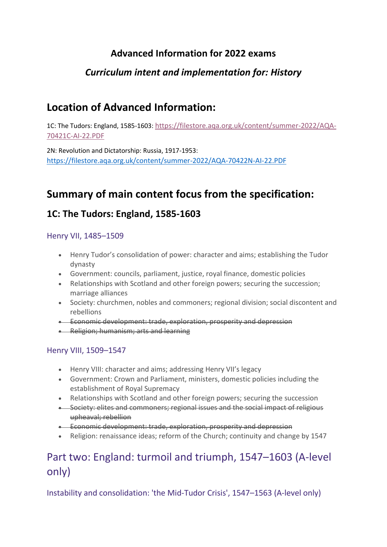# **Advanced Information for 2022 exams**

## *Curriculum intent and implementation for: History*

# **Location of Advanced Information:**

1C: The Tudors: England, 1585-1603: [https://filestore.aqa.org.uk/content/summer-2022/AQA-](https://filestore.aqa.org.uk/content/summer-2022/AQA-70421C-AI-22.PDF)[70421C-AI-22.PDF](https://filestore.aqa.org.uk/content/summer-2022/AQA-70421C-AI-22.PDF)

2N: Revolution and Dictatorship: Russia, 1917-1953: <https://filestore.aqa.org.uk/content/summer-2022/AQA-70422N-AI-22.PDF>

# **Summary of main content focus from the specification:**

## **1C: The Tudors: England, 1585-1603**

### Henry VII, 1485–1509

- Henry Tudor's consolidation of power: character and aims; establishing the Tudor dynasty
- Government: councils, parliament, justice, royal finance, domestic policies
- Relationships with Scotland and other foreign powers; securing the succession; marriage alliances
- Society: churchmen, nobles and commoners; regional division; social discontent and rebellions
- Economic development: trade, exploration, prosperity and depression
- Religion; humanism; arts and learning

### Henry VIII, 1509–1547

- Henry VIII: character and aims; addressing Henry VII's legacy
- Government: Crown and Parliament, ministers, domestic policies including the establishment of Royal Supremacy
- Relationships with Scotland and other foreign powers; securing the succession
- Society: elites and commoners; regional issues and the social impact of religious upheaval; rebellion
- Economic development: trade, exploration, prosperity and depression
- Religion: renaissance ideas; reform of the Church; continuity and change by 1547

# Part two: England: turmoil and triumph, 1547–1603 (A-level only)

Instability and consolidation: 'the Mid-Tudor Crisis', 1547–1563 (A-level only)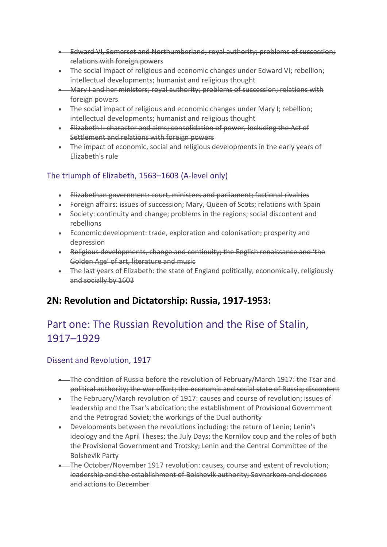- Edward VI, Somerset and Northumberland; royal authority; problems of succession; relations with foreign powers
- The social impact of religious and economic changes under Edward VI; rebellion; intellectual developments; humanist and religious thought
- Mary I and her ministers; royal authority; problems of succession; relations with foreign powers
- The social impact of religious and economic changes under Mary I; rebellion; intellectual developments; humanist and religious thought
- Elizabeth I: character and aims; consolidation of power, including the Act of Settlement and relations with foreign powers
- The impact of economic, social and religious developments in the early years of Elizabeth's rule

## The triumph of Elizabeth, 1563–1603 (A-level only)

- Elizabethan government: court, ministers and parliament; factional rivalries
- Foreign affairs: issues of succession; Mary, Queen of Scots; relations with Spain
- Society: continuity and change; problems in the regions; social discontent and rebellions
- Economic development: trade, exploration and colonisation; prosperity and depression
- Religious developments, change and continuity; the English renaissance and 'the Golden Age' of art, literature and music
- The last vears of Elizabeth: the state of England politically, economically, religiously and socially by 1603

# **2N: Revolution and Dictatorship: Russia, 1917-1953:**

# Part one: The Russian Revolution and the Rise of Stalin, 1917–1929

## Dissent and Revolution, 1917

- The condition of Russia before the revolution of February/March 1917: the Tsar and political authority; the war effort; the economic and social state of Russia; discontent
- The February/March revolution of 1917: causes and course of revolution; issues of leadership and the Tsar's abdication; the establishment of Provisional Government and the Petrograd Soviet; the workings of the Dual authority
- Developments between the revolutions including: the return of Lenin; Lenin's ideology and the April Theses; the July Days; the Kornilov coup and the roles of both the Provisional Government and Trotsky; Lenin and the Central Committee of the Bolshevik Party
- The October/November 1917 revolution: causes, course and extent of revolution; leadership and the establishment of Bolshevik authority; Sovnarkom and decrees and actions to December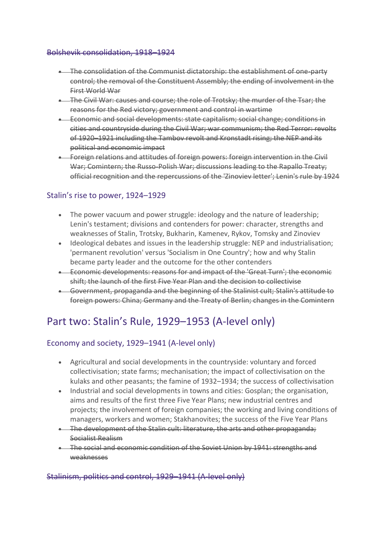#### Bolshevik consolidation, 1918–1924

- The consolidation of the Communist dictatorship: the establishment of one-party control; the removal of the Constituent Assembly; the ending of involvement in the First World War
- The Civil War: causes and course; the role of Trotsky; the murder of the Tsar; the reasons for the Red victory; government and control in wartime
- Economic and social developments: state capitalism; social change; conditions in cities and countryside during the Civil War; war communism; the Red Terror: revolts of 1920–1921 including the Tambov revolt and Kronstadt rising; the NEP and its political and economic impact
- Foreign relations and attitudes of foreign powers: foreign intervention in the Civil War; Comintern; the Russo-Polish War; discussions leading to the Rapallo Treaty; official recognition and the repercussions of the 'Zinoviev letter'; Lenin's rule by 1924

### Stalin's rise to power, 1924–1929

- The power vacuum and power struggle: ideology and the nature of leadership; Lenin's testament; divisions and contenders for power: character, strengths and weaknesses of Stalin, Trotsky, Bukharin, Kamenev, Rykov, Tomsky and Zinoviev
- Ideological debates and issues in the leadership struggle: NEP and industrialisation; 'permanent revolution' versus 'Socialism in One Country'; how and why Stalin became party leader and the outcome for the other contenders
- Economic developments: reasons for and impact of the 'Great Turn'; the economic shift; the launch of the first Five Year Plan and the decision to collectivise
- Government, propaganda and the beginning of the Stalinist cult; Stalin's attitude to foreign powers: China; Germany and the Treaty of Berlin; changes in the Comintern

# Part two: Stalin's Rule, 1929–1953 (A-level only)

### Economy and society, 1929–1941 (A-level only)

- Agricultural and social developments in the countryside: voluntary and forced collectivisation; state farms; mechanisation; the impact of collectivisation on the kulaks and other peasants; the famine of 1932–1934; the success of collectivisation
- Industrial and social developments in towns and cities: Gosplan; the organisation, aims and results of the first three Five Year Plans; new industrial centres and projects; the involvement of foreign companies; the working and living conditions of managers, workers and women; Stakhanovites; the success of the Five Year Plans
- The development of the Stalin cult: literature, the arts and other propaganda; Socialist Realism
- The social and economic condition of the Soviet Union by 1941: strengths and weaknesses

#### Stalinism, politics and control, 1929–1941 (A-level only)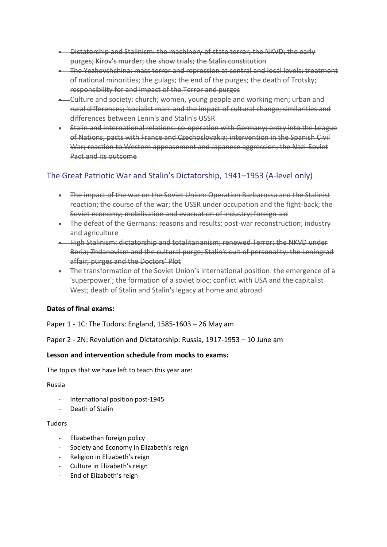- Dictatorship and Stalinism: the machinery of state terror; the NKVD; the early purges; Kirov's murder; the show trials; the Stalin constitution
- The Yezhovshchina: mass terror and repression at central and local levels: treatment of national minorities; the gulags; the end of the purges; the death of Trotsky; responsibility for and impact of the Terror and purges
- Culture and society: church; women, young people and working men; urban and rural differences; 'socialist man' and the impact of cultural change; similarities and differences between Lenin's and Stalin's USSR
- Stalin and international relations: co-operation with Germany; entry into the League of Nations; pacts with France and Czechoslovakia; intervention in the Spanish Civil War; reaction to Western appeasement and Japanese aggression; the Nazi-Soviet Pact and its outcome

## The Great Patriotic War and Stalin's Dictatorship, 1941–1953 (A-level only)

- The impact of the war on the Soviet Union: Operation Barbarossa and the Stalinist reaction; the course of the war; the USSR under occupation and the fight-back; the Soviet economy; mobilisation and evacuation of industry; foreign aid
- The defeat of the Germans: reasons and results; post-war reconstruction; industry and agriculture
- High Stalinism: dictatorship and totalitarianism; renewed Terror; the NKVD under Beria; Zhdanovism and the cultural purge; Stalin's cult of personality; the Leningrad affair; purges and the Doctors' Plot
- The transformation of the Soviet Union's international position: the emergence of a 'superpower'; the formation of a soviet bloc; conflict with USA and the capitalist West; death of Stalin and Stalin's legacy at home and abroad

### **Dates of final exams:**

Paper 1 - 1C: The Tudors: England, 1585-1603 – 26 May am

Paper 2 - 2N: Revolution and Dictatorship: Russia, 1917-1953 – 10 June am

#### **Lesson and intervention schedule from mocks to exams:**

The topics that we have left to teach this year are:

#### Russia

- International position post-1945
- Death of Stalin

#### Tudors

- Elizabethan foreign policy
- Society and Economy in Elizabeth's reign
- Religion in Elizabeth's reign
- Culture in Elizabeth's reign
- End of Elizabeth's reign